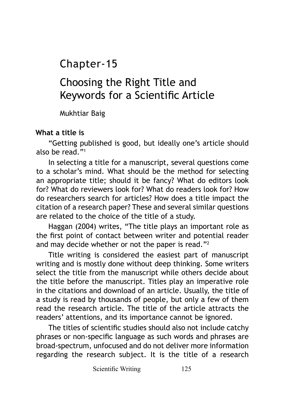Chapter-15

# Choosing the Right Title and Keywords for a Scientific Article

Mukhtiar Baig

#### **What a title is**

"Getting published is good, but ideally one's article should also be read."1

In selecting a title for a manuscript, several questions come to a scholar's mind. What should be the method for selecting an appropriate title; should it be fancy? What do editors look for? What do reviewers look for? What do readers look for? How do researchers search for articles? How does a title impact the citation of a research paper? These and several similar questions are related to the choice of the title of a study.

Haggan (2004) writes, "The title plays an important role as the first point of contact between writer and potential reader and may decide whether or not the paper is read."2

Title writing is considered the easiest part of manuscript writing and is mostly done without deep thinking. Some writers select the title from the manuscript while others decide about the title before the manuscript. Titles play an imperative role in the citations and download of an article. Usually, the title of a study is read by thousands of people, but only a few of them read the research article. The title of the article attracts the readers' attentions, and its importance cannot be ignored.

The titles of scientific studies should also not include catchy phrases or non-specific language as such words and phrases are broad-spectrum, unfocused and do not deliver more information regarding the research subject. It is the title of a research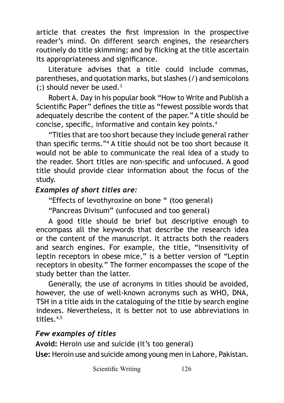article that creates the first impression in the prospective reader's mind. On different search engines, the researchers routinely do title skimming; and by flicking at the title ascertain its appropriateness and significance.

Literature advises that a title could include commas, parentheses, and quotation marks, but slashes (/) and semicolons (;) should never be used. $3$ 

Robert A. Day in his popular book "How to Write and Publish a Scientific Paper" defines the title as "fewest possible words that adequately describe the content of the paper."A title should be concise, specific, informative and contain key points.<sup>4</sup>

"Titles that are too short because they include general rather than specific terms."<sup>4</sup> A title should not be too short because it would not be able to communicate the real idea of a study to the reader. Short titles are non-specific and unfocused. A good title should provide clear information about the focus of the study.

#### *Examples of short titles are:*

"Effects of levothyroxine on bone " (too general)

"Pancreas Divisum" (unfocused and too general)

A good title should be brief but descriptive enough to encompass all the keywords that describe the research idea or the content of the manuscript. It attracts both the readers and search engines. For example, the title, "Insensitivity of leptin receptors in obese mice," is a better version of "Leptin receptors in obesity." The former encompasses the scope of the study better than the latter.

Generally, the use of acronyms in titles should be avoided, however, the use of well-known acronyms such as WHO, DNA, TSH in a title aids in the cataloguing of the title by search engine indexes. Nevertheless, it is better not to use abbreviations in titles.4,5

#### *Few examples of titles*

**Avoid:** Heroin use and suicide (it's too general) **Use:** Heroin use and suicide among young men in Lahore, Pakistan.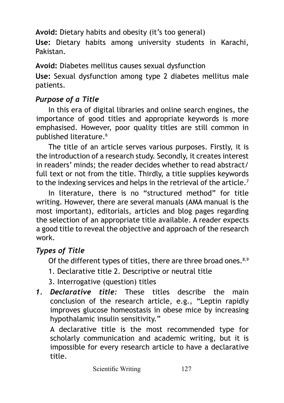**Avoid:** Dietary habits and obesity (it's too general)

**Use:** Dietary habits among university students in Karachi, Pakistan.

**Avoid:** Diabetes mellitus causes sexual dysfunction

**Use:** Sexual dysfunction among type 2 diabetes mellitus male patients.

## *Purpose of a Title*

In this era of digital libraries and online search engines, the importance of good titles and appropriate keywords is more emphasised. However, poor quality titles are still common in published literature.<sup>6</sup>

The title of an article serves various purposes. Firstly, it is the introduction of a research study. Secondly, it creates interest in readers' minds; the reader decides whether to read abstract/ full text or not from the title. Thirdly, a title supplies keywords to the indexing services and helps in the retrieval of the article.<sup>7</sup>

In literature, there is no "structured method" for title writing. However, there are several manuals (AMA manual is the most important), editorials, articles and blog pages regarding the selection of an appropriate title available. A reader expects a good title to reveal the objective and approach of the research work.

# *Types of Title*

Of the different types of titles, there are three broad ones.<sup>8,9</sup>

- 1. Declarative title 2. Descriptive or neutral title
- 3. Interrogative (question) titles
- *1. Declarative title:* These titles describe the main conclusion of the research article, e.g., "Leptin rapidly improves glucose homeostasis in obese mice by increasing hypothalamic insulin sensitivity."

A declarative title is the most recommended type for scholarly communication and academic writing, but it is impossible for every research article to have a declarative title.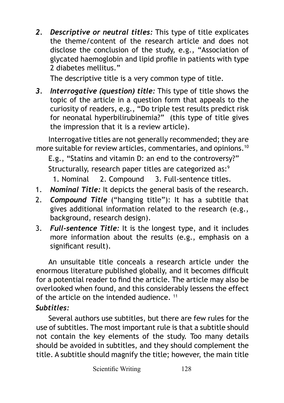*2. Descriptive or neutral titles:* This type of title explicates the theme/content of the research article and does not disclose the conclusion of the study, e.g., "Association of glycated haemoglobin and lipid profile in patients with type 2 diabetes mellitus."

The descriptive title is a very common type of title.

*3. Interrogative (question) title:* This type of title shows the topic of the article in a question form that appeals to the curiosity of readers, e.g., "Do triple test results predict risk for neonatal hyperbilirubinemia?" (this type of title gives the impression that it is a review article).

Interrogative titles are not generally recommended; they are more suitable for review articles, commentaries, and opinions.10

E.g., "Statins and vitamin D: an end to the controversy?"

Structurally, research paper titles are categorized as:<sup>9</sup>

1. Nominal 2. Compound 3. Full-sentence titles.

- 1. *Nominal Title:* It depicts the general basis of the research.
- 2. *Compound Title* ("hanging title"): It has a subtitle that gives additional information related to the research (e.g., background, research design).
- 3. *Full-sentence Title:* It is the longest type, and it includes more information about the results (e.g., emphasis on a significant result).

An unsuitable title conceals a research article under the enormous literature published globally, and it becomes difficult for a potential reader to find the article. The article may also be overlooked when found, and this considerably lessens the effect of the article on the intended audience. 11 *Subtitles:*

Several authors use subtitles, but there are few rules for the use of subtitles. The most important rule is that a subtitle should not contain the key elements of the study. Too many details should be avoided in subtitles, and they should complement the title. A subtitle should magnify the title; however, the main title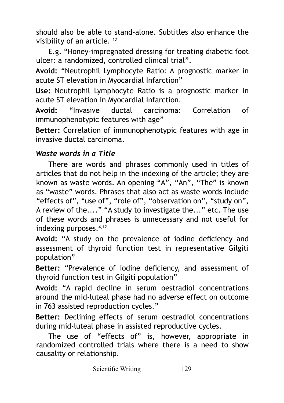should also be able to stand-alone. Subtitles also enhance the visibility of an article. 12

E.g. "Honey-impregnated dressing for treating diabetic foot ulcer: a randomized, controlled clinical trial".

**Avoid:** "Neutrophil Lymphocyte Ratio: A prognostic marker in acute ST elevation in Myocardial Infarction"

**Use:** Neutrophil Lymphocyte Ratio is a prognostic marker in acute ST elevation in Myocardial Infarction.

**Avoid:** "Invasive ductal carcinoma: Correlation of immunophenotypic features with age"

**Better:** Correlation of immunophenotypic features with age in invasive ductal carcinoma.

#### *Waste words in a Title*

There are words and phrases commonly used in titles of articles that do not help in the indexing of the article; they are known as waste words. An opening "A", "An", "The" is known as "waste" words. Phrases that also act as waste words include "effects of", "use of", "role of", "observation on", "study on", A review of the...." "A study to investigate the..." etc. The use of these words and phrases is unnecessary and not useful for indexing purposes.4,12

**Avoid:** "A study on the prevalence of iodine deficiency and assessment of thyroid function test in representative Gilgiti population"

**Better:** "Prevalence of iodine deficiency, and assessment of thyroid function test in Gilgiti population"

**Avoid:** "A rapid decline in serum oestradiol concentrations around the mid-luteal phase had no adverse effect on outcome in 763 assisted reproduction cycles."

**Better:** Declining effects of serum oestradiol concentrations during mid-luteal phase in assisted reproductive cycles.

The use of "effects of" is, however, appropriate in randomized controlled trials where there is a need to show causality or relationship.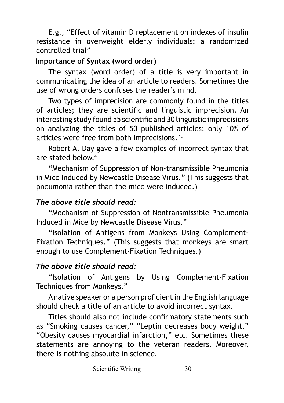E.g., "Effect of vitamin D replacement on indexes of insulin resistance in overweight elderly individuals: a randomized controlled trial"

## **Importance of Syntax (word order)**

The syntax (word order) of a title is very important in communicating the idea of an article to readers. Sometimes the use of wrong orders confuses the reader's mind. 4

Two types of imprecision are commonly found in the titles of articles; they are scientific and linguistic imprecision. An interesting study found 55 scientific and 30 linguistic imprecisions on analyzing the titles of 50 published articles; only 10% of articles were free from both imprecisions. 13

Robert A. Day gave a few examples of incorrect syntax that are stated below.4

"Mechanism of Suppression of Non-transmissible Pneumonia in Mice Induced by Newcastle Disease Virus." (This suggests that pneumonia rather than the mice were induced.)

# *The above title should read:*

"Mechanism of Suppression of Nontransmissible Pneumonia Induced in Mice by Newcastle Disease Virus."

"Isolation of Antigens from Monkeys Using Complement-Fixation Techniques." (This suggests that monkeys are smart enough to use Complement-Fixation Techniques.)

# *The above title should read:*

"Isolation of Antigens by Using Complement-Fixation Techniques from Monkeys."

A native speaker or a person proficient in the English language should check a title of an article to avoid incorrect syntax.

Titles should also not include confirmatory statements such as "Smoking causes cancer," "Leptin decreases body weight," "Obesity causes myocardial infarction," etc. Sometimes these statements are annoying to the veteran readers. Moreover, there is nothing absolute in science.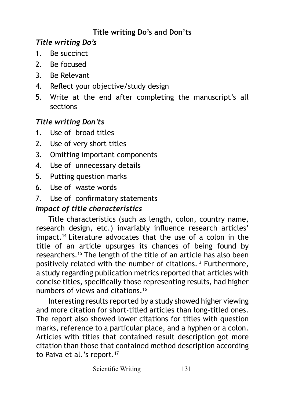# **Title writing Do's and Don'ts**

## *Title writing Do's*

- 1. Be succinct
- 2. Be focused
- 3. Be Relevant
- 4. Reflect your objective/study design
- 5. Write at the end after completing the manuscript's all sections

## *Title writing Don'ts*

- 1. Use of broad titles
- 2. Use of very short titles
- 3. Omitting important components
- 4. Use of unnecessary details
- 5. Putting question marks
- 6. Use of waste words
- 7. Use of confirmatory statements

## *Impact of title characteristics*

Title characteristics (such as length, colon, country name, research design, etc.) invariably influence research articles' impact.14 Literature advocates that the use of a colon in the title of an article upsurges its chances of being found by researchers.15 The length of the title of an article has also been positively related with the number of citations. 3 Furthermore, a study regarding publication metrics reported that articles with concise titles, specifically those representing results, had higher numbers of views and citations.16

Interesting results reported by a study showed higher viewing and more citation for short-titled articles than long-titled ones. The report also showed lower citations for titles with question marks, reference to a particular place, and a hyphen or a colon. Articles with titles that contained result description got more citation than those that contained method description according to Paiva et al.'s report.<sup>17</sup>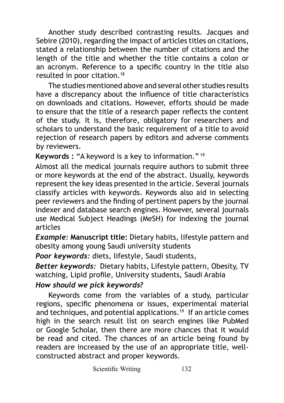Another study described contrasting results. Jacques and Sebire (2010), regarding the impact of articles titles on citations, stated a relationship between the number of citations and the length of the title and whether the title contains a colon or an acronym. Reference to a specific country in the title also resulted in poor citation.18

The studies mentioned above and several other studies results have a discrepancy about the influence of title characteristics on downloads and citations. However, efforts should be made to ensure that the title of a research paper reflects the content of the study. It is, therefore, obligatory for researchers and scholars to understand the basic requirement of a title to avoid rejection of research papers by editors and adverse comments by reviewers.

**Keywords :** "A keyword is a key to information."<sup>19</sup>

Almost all the medical journals require authors to submit three or more keywords at the end of the abstract. Usually, keywords represent the key ideas presented in the article. Several journals classify articles with keywords. Keywords also aid in selecting peer reviewers and the finding of pertinent papers by the journal indexer and database search engines. However, several journals use Medical Subject Headings (MeSH) for indexing the journal articles

*Example:* **Manuscript title:** Dietary habits, lifestyle pattern and obesity among young Saudi university students

*Poor keywords:* diets, lifestyle, Saudi students,

*Better keywords:* Dietary habits, Lifestyle pattern, Obesity, TV watching, Lipid profile, University students, Saudi Arabia

#### *How should we pick keywords?*

Keywords come from the variables of a study, particular regions, specific phenomena or issues, experimental material and techniques, and potential applications.<sup>19</sup> If an article comes high in the search result list on search engines like PubMed or Google Scholar, then there are more chances that it would be read and cited. The chances of an article being found by readers are increased by the use of an appropriate title, wellconstructed abstract and proper keywords.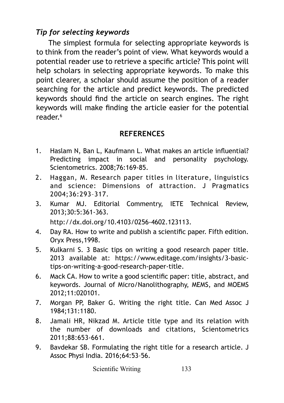### *Tip for selecting keywords*

The simplest formula for selecting appropriate keywords is to think from the reader's point of view. What keywords would a potential reader use to retrieve a specific article? This point will help scholars in selecting appropriate keywords. To make this point clearer, a scholar should assume the position of a reader searching for the article and predict keywords. The predicted keywords should find the article on search engines. The right keywords will make finding the article easier for the potential reader<sup>6</sup>

#### **REFERENCES**

- 1. Haslam N, Ban L, Kaufmann L. What makes an article influential? Predicting impact in social and personality psychology. Scientometrics. 2008;76:169-85.
- 2. Haggan, M. Research paper titles in literature, linguistics and science: Dimensions of attraction. J Pragmatics 2004;36:293–317.
- 3. Kumar MJ. Editorial Commentry, IETE Technical Review, 2013;30:5:361-363. http://dx.doi.org/10.4103/0256-4602.123113.
- 4. Day RA. How to write and publish a scientific paper. Fifth edition. Oryx Press,1998.
- 5. Kulkarni S. 3 Basic tips on writing a good research paper title. 2013 available at: [https://www.editage.com/insights/3-basic](https://www.editage.com/insights/3-basic-tips-on-writing-a-good-research-paper-title)[tips-on-writing-a-good-research-paper-title.](https://www.editage.com/insights/3-basic-tips-on-writing-a-good-research-paper-title)
- 6. Mack CA. How to write a good scientific paper: title, abstract, and keywords. Journal of Micro/Nanolithography, MEMS, and MOEMS 2012;11:020101.
- 7. Morgan PP, Baker G. Writing the right title. Can Med Assoc J 1984;131:1180.
- 8. Jamali HR, Nikzad M. Article title type and its relation with the number of downloads and citations, Scientometrics 2011;88:653-661.
- 9. Bavdekar SB. Formulating the right title for a research article. J Assoc Physi India. 2016;64:53–56.